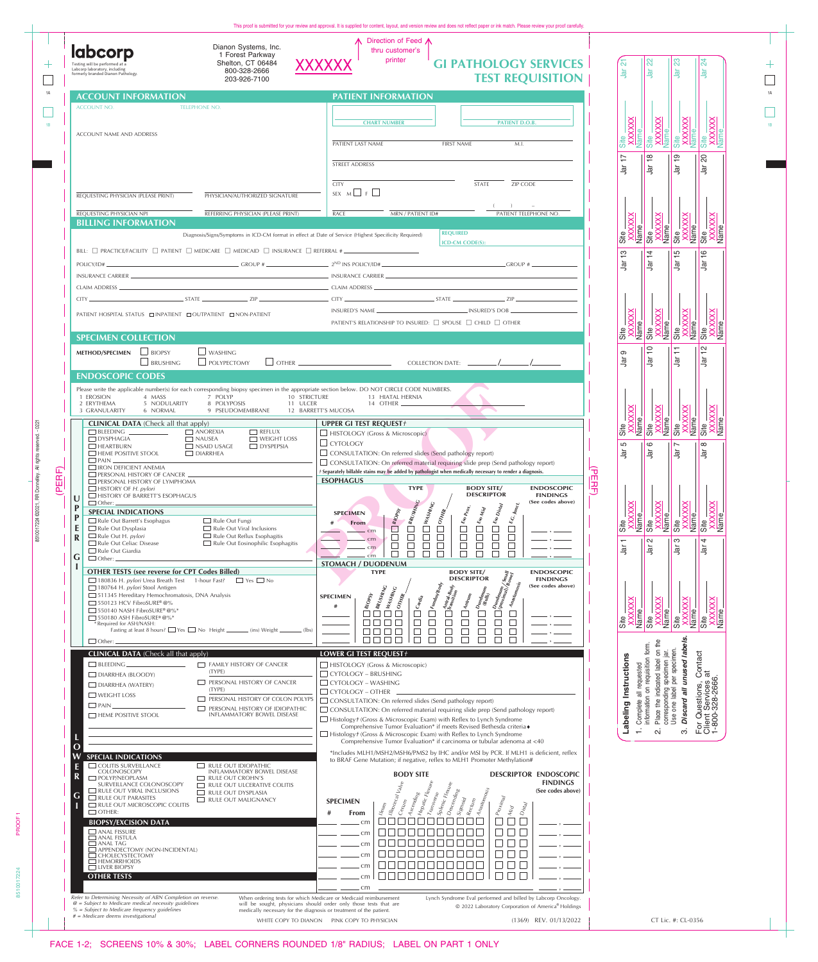|                  | <b>abcorp</b><br>1 Forest Parkway<br>Shelton, CT 06484<br>Testing will be performed at a<br>Labcorp laboratory, including<br>800-328-2666<br>formerly branded Dianon Pathology.<br>203-926-7100 | printer<br>္တြ<br>22<br>1각<br><b>GI PATHOLOGY SERVICES</b><br>$\overline{\mathcal{L}}$<br>$\overline{a}$<br>$\overline{\mathbf{g}}$<br><u>। ल</u><br>$\overline{\overline{B}}$<br><b>TEST REQUISITION</b>                                                                                                                                                                                                                                         |                         |
|------------------|-------------------------------------------------------------------------------------------------------------------------------------------------------------------------------------------------|---------------------------------------------------------------------------------------------------------------------------------------------------------------------------------------------------------------------------------------------------------------------------------------------------------------------------------------------------------------------------------------------------------------------------------------------------|-------------------------|
|                  | <b>ACCOUNT INFORMATION</b><br><b>ACCOUNT NO.</b><br>TELEPHONE NO.<br><b>ACCOUNT NAME AND ADDRESS</b>                                                                                            | <b>PATIENT INFORMATION</b><br>Site<br>XXXXXX<br>Site<br>XXXXXX<br>Name<br>Site<br>XXXXXX<br>Name<br>Site<br>XXXXXX<br>Name<br><b>CHART NUMBER</b><br><b>PATIENT D.O.B.</b><br><b>FIRST NAME</b><br>PATIENT LAST NAME<br>M.I.                                                                                                                                                                                                                      |                         |
|                  | REQUESTING PHYSICIAN (PLEASE PRINT)<br>PHYSICIAN/AUTHORIZED SIGNATURE                                                                                                                           | $\frac{8}{1}$<br>တ<br> ನ<br>STREET ADDRESS<br>$\frac{1}{2}$<br>$\bar{a}$<br>$\overline{a}$<br>$\frac{1}{2}$<br><b>CITY</b><br><b>STATE</b><br>ZIP CODE<br>SEX $M \t F$                                                                                                                                                                                                                                                                            |                         |
|                  | REFERRING PHYSICIAN (PLEASE PRINT)<br>REQUESTING PHYSICIAN NPI                                                                                                                                  | <b>RACE</b><br>MRN / PATIENT ID#<br>PATIENT TELEPHONE NO.                                                                                                                                                                                                                                                                                                                                                                                         |                         |
|                  | <b>BILLING INFORMATION</b><br>Diagnosis/Signs/Symptoms in ICD-CM format in effect at Date of Service (Highest Specificity Required)                                                             | Site<br>XXXXXX<br>XXXXXX<br>Site<br>Site<br>XXXXX<br>Mame<br><b>XX</b><br>Name<br><b>REQUIRED</b><br>ျခား                                                                                                                                                                                                                                                                                                                                         | Site<br>XXXXXX<br>Name  |
|                  | BILL: $\Box$ PRACTICE/FACILITY $\Box$ PATIENT $\Box$ MEDICARE $\Box$ MEDICAID $\Box$ INSURANCE $\Box$ REFERRAL #                                                                                | <b>ICD-CM CODE(S):</b><br>$\frac{1}{2}$<br>  ယ<br>$\frac{6}{1}$<br>$\overline{4}$                                                                                                                                                                                                                                                                                                                                                                 |                         |
|                  | POLICY/ID#                                                                                                                                                                                      | $\bar{a}$<br>$\overline{\overline{B}}$<br>$GROUP \#$ $2^{ND}$ INS POLICY/ID#<br>$\frac{1}{\overline{a}}$<br>$\frac{1}{\sqrt{2}}$                                                                                                                                                                                                                                                                                                                  |                         |
|                  |                                                                                                                                                                                                 |                                                                                                                                                                                                                                                                                                                                                                                                                                                   |                         |
| CITY.            | $\_$ STATE $\_$                                                                                                                                                                                 | _INSURED'S DOB __                                                                                                                                                                                                                                                                                                                                                                                                                                 |                         |
|                  | PATIENT HOSPITAL STATUS □ INPATIENT □ OUTPATIENT □ NON-PATIENT                                                                                                                                  | $\frac{\overline{\text{Site}}}{\text{N2000}}$<br>$\frac{\overline{\text{Site}}}{\text{XXX}}$<br>Site<br>XXXXX<br>Name<br>PATIENT'S RELATIONSHIP TO INSURED: □ SPOUSE □ CHILD □ OTHER                                                                                                                                                                                                                                                              | Site<br>XXXXXX<br>Name  |
|                  | <b>SPECIMEN COLLECTION</b>                                                                                                                                                                      |                                                                                                                                                                                                                                                                                                                                                                                                                                                   |                         |
|                  | $\Box$ WASHING<br>METHOD/SPECIMEN<br>$\Box$ BIOPSY                                                                                                                                              | $\overline{C}$<br>일<br>ၜ<br>$\frac{1}{2}$<br>$\overline{a}$<br>$\bar{\Xi}$<br>$\frac{1}{\overline{a}}$                                                                                                                                                                                                                                                                                                                                            |                         |
|                  | POLYPECTOMY<br>$\Box$ BRUSHING<br><b>ENDOSCOPIC CODES</b>                                                                                                                                       | $\Box$ other $\_\_$                                                                                                                                                                                                                                                                                                                                                                                                                               |                         |
|                  | Please write the applicable number(s) for each corresponding biopsy specimen in the appropriate section below. DO NOT CIRCLE CODE NUMBERS.                                                      |                                                                                                                                                                                                                                                                                                                                                                                                                                                   |                         |
|                  | 1 EROSION<br>4 MASS<br>7 POLYP<br>2 ERYTHEMA<br>5 NODULARITY<br>8 POLYPOSIS<br>11 ULCER<br>6 NORMAL<br>9 PSEUDOMEMBRANE<br>3 GRANULARITY                                                        | 10 STRICTURE<br>13 HIATAL HERNIA<br>14 OTHER<br>12 BARRETT'S MUCOSA                                                                                                                                                                                                                                                                                                                                                                               |                         |
|                  | <b>CLINICAL DATA</b> (Check all that apply)                                                                                                                                                     | XXXX<br>$\frac{1}{\sqrt{2}}$<br>ļφ<br>¦e<br>UPPER GI TEST REQUEST +<br>site<br>Site<br>ᅨ<br>Site<br><u> 중흥</u> 을 중국<br>Site                                                                                                                                                                                                                                                                                                                       | XXXX<br>₾<br><u>lan</u> |
|                  | $\square$ bleeding<br>$\Box$ REFLUX<br>$\Box$ ANOREXIA<br>$\Box$ NAUSEA<br>$\Box$ WEIGHT LOSS<br>$\Box$ DYSPHAGIA<br>$\Box$ HEARTBURN<br>$\Box$ NSAID USAGE<br>$\Box$ DYSPEPSIA                 | HISTOLOGY (Gross & Microscopic)<br>$\Box$ CYTOLOGY<br>5<br> ယ<br>∣∞<br>⊢                                                                                                                                                                                                                                                                                                                                                                          |                         |
|                  | $\Box$ HEME POSITIVE STOOL<br>$\Box$ DIARRHEA<br>$\Box$ PAIN.                                                                                                                                   | $\frac{1}{\sqrt{2}}$<br>$\overline{\overline{a}}$<br>$\bar{\mathbb{E}}$<br>$\bar{\vec{B}}$<br>CONSULTATION: On referred slides (Send pathology report)<br>$\Box$ CONSULTATION: On referred material requiring slide prep (Send pathology report)                                                                                                                                                                                                  |                         |
|                  | IRON DEFICIENT ANEMIA<br>PERSONAL HISTORY OF CANCER                                                                                                                                             | "চ<br>f Separately billable stains may be added by pathologist when medically necessary to render a diagnosis.<br>ш                                                                                                                                                                                                                                                                                                                               |                         |
|                  | PERSONAL HISTORY OF LYMPHOMA<br>$\Box$ HISTORY OF H. pylori<br>HISTORY OF BARRETT'S ESOPHAGUS                                                                                                   | <b>ESOPHAGUS</b><br>꼮<br><b>BODY SITE/</b><br><b>ENDOSCOPIC</b><br><b>TYPE</b><br><b>DESCRIPTOR</b><br><b>FINDINGS</b>                                                                                                                                                                                                                                                                                                                            |                         |
| U<br>$\mathbf P$ | $\Box$ Other: $\Box$<br><b>SPECIAL INDICATIONS</b>                                                                                                                                              | (See codes above)<br><b>BRUSHING</b>                                                                                                                                                                                                                                                                                                                                                                                                              |                         |
| P<br>E           | Rule Out Barrett's Esophagus<br>Rule Out Fungi<br>Rule Out Dysplasia<br>$\Box$ Rule Out Viral Inclusions                                                                                        | $\square$ WASHING<br>Site<br>XXXXXX<br>Name<br>$\vert \epsilon_{\text{G}, \textit{lum}_{\text{G}}}$<br>Site<br>XXXXXX<br>Name<br>Eso Distal<br>$\epsilon_{so}$ Mid<br>Eso Pro<br>$\Box$ <sup>81</sup> OP <sub>SY</sub><br>OTHER<br><b>SPECIMEN</b><br>Name <sub>l</sub><br>From<br>site<br>Site<br>$\Box$<br>$\Box$<br>$\Box$<br>$\Box$                                                                                                           | Site<br>XXXXXX<br>Name  |
| $\mathbf R$<br>G | $\Box$ Rule Out H. <i>pylori</i><br>$\Box$ Rule Out Reflux Esophagitis<br>Rule Out Celiac Disease<br>$\Box$ Rule Out Eosinophilic Esophagitis<br>Rule Out Giardia<br>$\Box$ Other: $\Box$       | . cm<br>$\Box$<br>$\Box$<br>$\Box$<br>$\Box$<br>$\Box$<br>$\Box$<br>$\Box$<br>$\Box$<br>. cm<br>∣പ<br> က<br>$\overline{4}$<br>$\overline{\phantom{0}}$<br>$\Box$<br>$\Box$<br>$\Box$<br>$\Box$<br>$\Box$<br>$\Box$<br>$\Box$<br>$\Box$<br>$\overline{a}$<br>$\frac{1}{2}$<br>cm<br>$\frac{1}{\overline{a}}$<br>ā<br>$\Box$<br>$\Box$<br>$\Box$<br>$\Box$<br>$\Box$<br>$\Box$<br>$\Box$<br>□                                                       |                         |
|                  | <b>OTHER TESTS (see reverse for CPT Codes Billed)</b>                                                                                                                                           | <b>STOMACH / DUODENUM</b><br><b>TYPE</b><br><b>ENDOSCOPIC</b><br><b>BODY SITE/</b><br><b>DESCRIPTOR</b><br><b>FINDINGS</b>                                                                                                                                                                                                                                                                                                                        |                         |
|                  | 180836 H. pylori Urea Breath Test 1-hour Fast?<br>$\Box$ Yes $\Box$ No<br>180764 H. pylori Stool Antigen<br>511345 Hereditary Hemochromatosis, DNA Analysis                                     | Duodenum<br>  Grootenum<br>  Sowall<br>(See codes above)<br>Anastomosis<br><b>SPECIMEN</b>                                                                                                                                                                                                                                                                                                                                                        |                         |
|                  | □ 550123 HCV FibroSURE® @%<br>□ 550140 NASH FibroSURE® @%*                                                                                                                                      | <b>BRUSHING</b><br>I WASHING<br>Nundus/Bo<br>$\Box^{\textit{Ant}_{\textit{alt},\textit{Bo}}}_{\textit{analytic}}$<br>$\vert\frac{\scriptstyle D_{\scriptstyle u_{0d_{e_{\eta_{\ell}}}}}}{\scriptstyle \alpha_{\scriptstyle u_{\scriptstyle b_{\scriptstyle j}}}}$<br>OTHER.<br>$\Box$ Antrum<br><b>BIOPSY</b><br>$\Box$ $c_{\hat{a}_{\hat{r}}\hat{q}_{\hat{q}}}$<br>Site<br>XXXXX<br>Name<br>Site<br>XXXXXX<br>Name<br>$\Box$<br>$\Box$<br>$\Box$ | Site<br>XXXXXX<br>Name  |
|                  | □ 550180 ASH FibroSURE® @%*<br>* Required for ASH/NASH:<br>Fasting at least 8 hours? TVes No Height ________ (ins) Weight ______                                                                | $\frac{1}{2}$<br>ie<br>Site<br>$\Box$<br>$\Box$<br>$\Box$ $\Box$<br>$\Box$<br>$\Box$<br>$\Box$<br>$\Box$<br>$\Box$<br>□<br>$\Box$<br>$\Box$<br>$\Box$<br>$\Box$<br>(lbs)<br>$\Box \quad \Box \quad \Box \quad \Box$                                                                                                                                                                                                                               |                         |
|                  | $\Box$ Other:                                                                                                                                                                                   | $\Box$<br>$\Box$<br>$\Box$<br>П<br>П<br>$\Box$<br>8888<br>П<br>□<br>₽ф                                                                                                                                                                                                                                                                                                                                                                            |                         |
|                  | <b>CLINICAL DATA</b> (Check all that apply)<br>FAMILY HISTORY OF CANCER<br>$\Box$ BLEEDING $\Box$                                                                                               | LOWER GI TEST REQUEST +<br>Contact<br>at<br>$\Box$ HISTOLOGY (Gross & Microscopic)                                                                                                                                                                                                                                                                                                                                                                |                         |
|                  | (TYPE)<br>$\Box$ DIARRHEA (BLOODY)<br>PERSONAL HISTORY OF CANCER                                                                                                                                | unused<br>lab<br>per specimen<br>Instructions<br>Place the indicated label<br>specimen<br>$\Box$ CYTOLOGY – BRUSHING<br>$\Box$ CYTOLOGY – WASHING                                                                                                                                                                                                                                                                                                 |                         |
|                  | $\Box$ DIARRHEA (WATERY)<br>(TYPE)<br>$\Box$ WEIGHT LOSS<br>PERSONAL HISTORY OF COLON POLYPS                                                                                                    | For Questions, C<br>Client Services a<br>1-800-328-2666.<br>g<br>all<br>$\Box$ Cytology – other                                                                                                                                                                                                                                                                                                                                                   |                         |
|                  | $\Box$ Pain<br>PERSONAL HISTORY OF IDIOPATHIC<br>INFLAMMATORY BOWEL DISEASE<br>HEME POSITIVE STOOL                                                                                              | corresponding s<br>Complete al<br>information<br>Discard<br>CONSULTATION: On referred slides (Send pathology report)<br>Labeling<br>$\Box$ CONSULTATION: On referred material requiring slide prep (Send pathology report)                                                                                                                                                                                                                        |                         |
|                  |                                                                                                                                                                                                 | $\Box$ Histology $t$ (Gross & Microscopic Exam) with Reflex to Lynch Syndrome<br>Comprehensive Tumor Evaluation* if meets Revised Bethesda criteria+<br>ကဲ<br>$\mathbf{a}$                                                                                                                                                                                                                                                                        |                         |
|                  |                                                                                                                                                                                                 | $\Box$ Histology $t$ (Gross & Microscopic Exam) with Reflex to Lynch Syndrome<br>Comprehensive Tumor Evaluation* if carcinoma or tubular adenoma at <40                                                                                                                                                                                                                                                                                           |                         |
| E                | <b>SPECIAL INDICATIONS</b><br>$\Box$ COLITIS SURVEILLANCE<br>RULE OUT IDIOPATHIC                                                                                                                | *Includes MLH1/MSH2/MSH6/PMS2 by IHC and/or MSI by PCR. If MLH1 is deficient, reflex<br>to BRAF Gene Mutation; if negative, reflex to MLH1 Promoter Methylation#                                                                                                                                                                                                                                                                                  |                         |
| R                | INFLAMMATORY BOWEL DISEASE<br>COLONOSCOPY<br>POLYP/NEOPLASM<br>$\Box$ RULE OUT CROHN'S                                                                                                          | <b>BODY SITE</b><br><b>DESCRIPTOR ENDOSCOPIC</b><br><b>FINDINGS</b>                                                                                                                                                                                                                                                                                                                                                                               |                         |
| G                | SURVEILLANCE COLONOSCOPY<br>$\Box$ RULE OUT ULCERATIVE COLITIS<br>$\Box$ Rule out viral inclusions<br>RULE OUT DYSPLASIA<br>$\Box$ RULE OUT PARASITES<br>$\Box$ RULE OUT MALIGNANCY             | (See codes above)                                                                                                                                                                                                                                                                                                                                                                                                                                 |                         |
|                  | $\Box$ RULE OUT MICROSCOPIC COLITIS<br>$\Box$ OTHER:                                                                                                                                            | Descending<br>Splenic Flex<br>Transverse<br>$P_{\mathit{PQ}^{k}_{\mathit{Y}^{j}_{\mathit{Y}\mathit{PQ}}}}$<br>Hepatic<br>$S_{\delta g \eta_{O}}_{\dot{G}}$<br><b>SPECIMEN</b><br>Rectum<br>$C_{\mathcal{C}\cup\mathcal{C}\mathcal{P}}$<br>Anastor.<br>$D_{\mathit{Stq}}$<br>$n_{\rm eq,}$<br>$\mu_{\!\scriptstyle\mathrm{POC}}$<br>Mid<br>From                                                                                                    |                         |
|                  | <b>BIOPSY/EXCISION DATA</b><br>$\Box$ anal fissure                                                                                                                                              | cm<br>cm                                                                                                                                                                                                                                                                                                                                                                                                                                          |                         |
|                  | $\Box$ ANAL FISTULA<br>$\Box$ anal tag<br>$\Box$ APPENDECTOMY (NON-INCIDENTAL)                                                                                                                  | cm                                                                                                                                                                                                                                                                                                                                                                                                                                                |                         |
|                  | $\Box$ cholecystectomy<br>$\Box$ HEMORRHOIDS                                                                                                                                                    | cm<br>cm                                                                                                                                                                                                                                                                                                                                                                                                                                          |                         |
|                  | $\Box$ LIVER BIOPSY<br><b>OTHER TESTS</b>                                                                                                                                                       |                                                                                                                                                                                                                                                                                                                                                                                                                                                   |                         |
|                  |                                                                                                                                                                                                 | cm                                                                                                                                                                                                                                                                                                                                                                                                                                                |                         |

8510017224

PROOF<sub>1</sub>